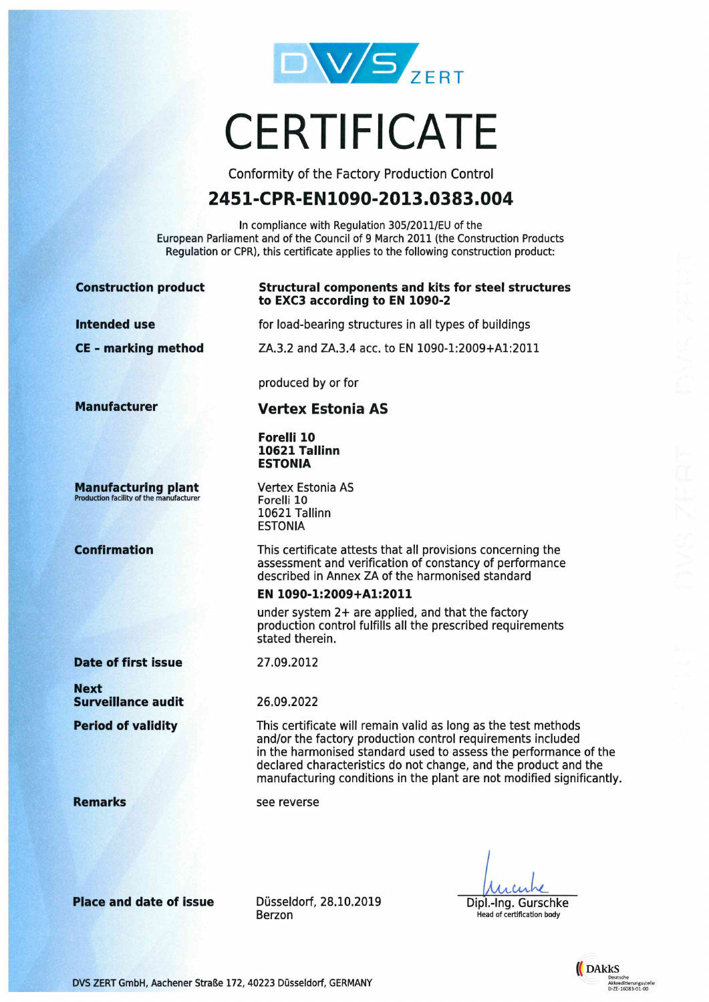

# **CERTIFICATE**

Conformity of the Factory Production Control

## 2451-CPR-EN1090-2013.0383.004

In compliance with Regulation 305/2011/EU of the European Parliament and of the Council of 9 March 2011 (the Construction Products Regulation or CPR), this certificate applies to the following construction product:

| <b>Construction product</b>                                                  | <b>Structural components and kits for steel structures</b><br>to EXC3 according to EN 1090-2                                                                                                                                                                                                                                                  |
|------------------------------------------------------------------------------|-----------------------------------------------------------------------------------------------------------------------------------------------------------------------------------------------------------------------------------------------------------------------------------------------------------------------------------------------|
| <b>Intended use</b>                                                          | for load-bearing structures in all types of buildings                                                                                                                                                                                                                                                                                         |
| <b>CE - marking method</b>                                                   | ZA.3.2 and ZA.3.4 acc. to EN 1090-1:2009+A1:2011                                                                                                                                                                                                                                                                                              |
|                                                                              | produced by or for                                                                                                                                                                                                                                                                                                                            |
| <b>Manufacturer</b>                                                          | <b>Vertex Estonia AS</b>                                                                                                                                                                                                                                                                                                                      |
|                                                                              | Forelli 10<br>10621 Tallinn<br><b>ESTONIA</b>                                                                                                                                                                                                                                                                                                 |
| <b>Manufacturing plant</b><br><b>Production facility of the manufacturer</b> | Vertex Estonia AS<br>Forelli 10<br>10621 Tallinn<br><b>ESTONIA</b>                                                                                                                                                                                                                                                                            |
| <b>Confirmation</b>                                                          | This certificate attests that all provisions concerning the<br>assessment and verification of constancy of performance<br>described in Annex ZA of the harmonised standard<br>EN 1090-1:2009+A1:2011                                                                                                                                          |
|                                                                              | under system 2+ are applied, and that the factory<br>production control fulfills all the prescribed requirements<br>stated therein.                                                                                                                                                                                                           |
| <b>Date of first issue</b>                                                   | 27.09.2012                                                                                                                                                                                                                                                                                                                                    |
| <b>Next</b><br><b>Surveillance audit</b>                                     | 26.09.2022                                                                                                                                                                                                                                                                                                                                    |
| <b>Period of validity</b>                                                    | This certificate will remain valid as long as the test methods<br>and/or the factory production control requirements included<br>in the harmonised standard used to assess the performance of the<br>declared characteristics do not change, and the product and the<br>manufacturing conditions in the plant are not modified significantly. |
| <b>Remarks</b>                                                               | see reverse                                                                                                                                                                                                                                                                                                                                   |
|                                                                              |                                                                                                                                                                                                                                                                                                                                               |
|                                                                              |                                                                                                                                                                                                                                                                                                                                               |

Place and date of issue

Düsseldorf, 28.10.2019 Berzon

Milin Dipl.-lng. Gurschke Head of certification body



DVS ZERT GmbH, Aachener Straße 172, 40223 Düsseldorf, GERMANY